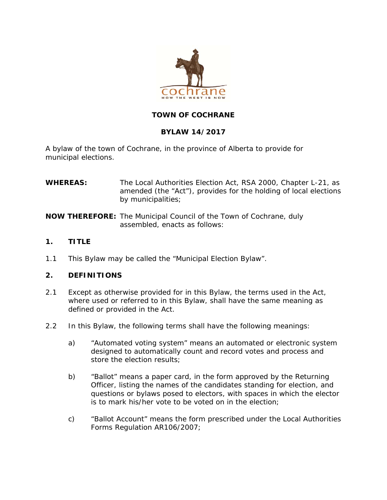

# **TOWN OF COCHRANE**

# **BYLAW 14/2017**

A bylaw of the town of Cochrane, in the province of Alberta to provide for municipal elections.

| <b>WHEREAS:</b> | The Local Authorities Election Act, RSA 2000, Chapter L-21, as                         |
|-----------------|----------------------------------------------------------------------------------------|
|                 | amended (the "Act"), provides for the holding of local elections<br>by municipalities; |
|                 |                                                                                        |

**NOW THEREFORE:** The Municipal Council of the Town of Cochrane, duly assembled, enacts as follows:

- **1. TITLE**
- 1.1 This Bylaw may be called the "Municipal Election Bylaw".

# **2. DEFINITIONS**

- 2.1 Except as otherwise provided for in this Bylaw, the terms used in the Act, where used or referred to in this Bylaw, shall have the same meaning as defined or provided in the Act.
- 2.2 In this Bylaw, the following terms shall have the following meanings:
	- a) "Automated voting system" means an automated or electronic system designed to automatically count and record votes and process and store the election results;
	- b) "Ballot" means a paper card, in the form approved by the Returning Officer, listing the names of the candidates standing for election, and questions or bylaws posed to electors, with spaces in which the elector is to mark his/her vote to be voted on in the election;
	- c) "Ballot Account" means the form prescribed under the Local Authorities Forms Regulation AR106/2007;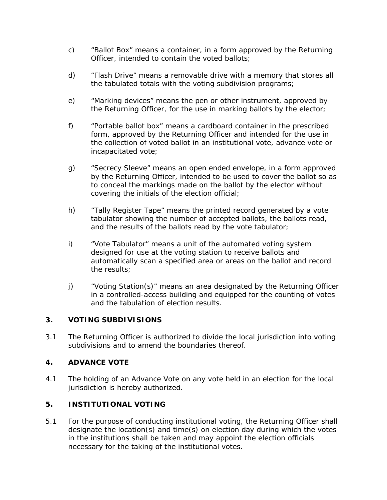- c) "Ballot Box" means a container, in a form approved by the Returning Officer, intended to contain the voted ballots;
- d) "Flash Drive" means a removable drive with a memory that stores all the tabulated totals with the voting subdivision programs;
- e) "Marking devices" means the pen or other instrument, approved by the Returning Officer, for the use in marking ballots by the elector;
- f) "Portable ballot box" means a cardboard container in the prescribed form, approved by the Returning Officer and intended for the use in the collection of voted ballot in an institutional vote, advance vote or incapacitated vote;
- g) "Secrecy Sleeve" means an open ended envelope, in a form approved by the Returning Officer, intended to be used to cover the ballot so as to conceal the markings made on the ballot by the elector without covering the initials of the election official;
- h) "Tally Register Tape" means the printed record generated by a vote tabulator showing the number of accepted ballots, the ballots read, and the results of the ballots read by the vote tabulator;
- i) "Vote Tabulator" means a unit of the automated voting system designed for use at the voting station to receive ballots and automatically scan a specified area or areas on the ballot and record the results;
- j) "Voting Station(s)" means an area designated by the Returning Officer in a controlled-access building and equipped for the counting of votes and the tabulation of election results.

# **3. VOTING SUBDIVISIONS**

3.1 The Returning Officer is authorized to divide the local jurisdiction into voting subdivisions and to amend the boundaries thereof.

# **4. ADVANCE VOTE**

4.1 The holding of an Advance Vote on any vote held in an election for the local jurisdiction is hereby authorized.

# **5. INSTITUTIONAL VOTING**

5.1 For the purpose of conducting institutional voting, the Returning Officer shall designate the location(s) and time(s) on election day during which the votes in the institutions shall be taken and may appoint the election officials necessary for the taking of the institutional votes.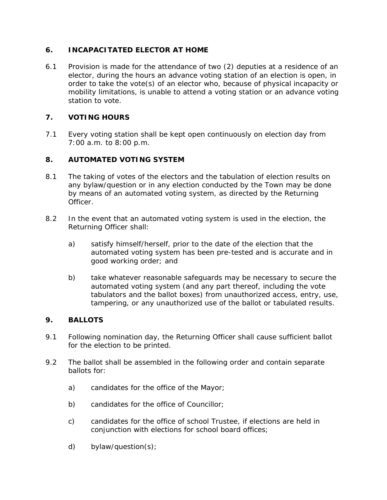# **6. INCAPACITATED ELECTOR AT HOME**

6.1 Provision is made for the attendance of two (2) deputies at a residence of an elector, during the hours an advance voting station of an election is open, in order to take the vote(s) of an elector who, because of physical incapacity or mobility limitations, is unable to attend a voting station or an advance voting station to vote.

# **7. VOTING HOURS**

7.1 Every voting station shall be kept open continuously on election day from 7:00 a.m. to 8:00 p.m.

# **8. AUTOMATED VOTING SYSTEM**

- 8.1 The taking of votes of the electors and the tabulation of election results on any bylaw/question or in any election conducted by the Town may be done by means of an automated voting system, as directed by the Returning Officer.
- 8.2 In the event that an automated voting system is used in the election, the Returning Officer shall:
	- a) satisfy himself/herself, prior to the date of the election that the automated voting system has been pre-tested and is accurate and in good working order; and
	- b) take whatever reasonable safeguards may be necessary to secure the automated voting system (and any part thereof, including the vote tabulators and the ballot boxes) from unauthorized access, entry, use, tampering, or any unauthorized use of the ballot or tabulated results.

# **9. BALLOTS**

- 9.1 Following nomination day, the Returning Officer shall cause sufficient ballot for the election to be printed.
- 9.2 The ballot shall be assembled in the following order and contain separate ballots for:
	- a) candidates for the office of the Mayor;
	- b) candidates for the office of Councillor;
	- c) candidates for the office of school Trustee, if elections are held in conjunction with elections for school board offices;
	- d) bylaw/question(s);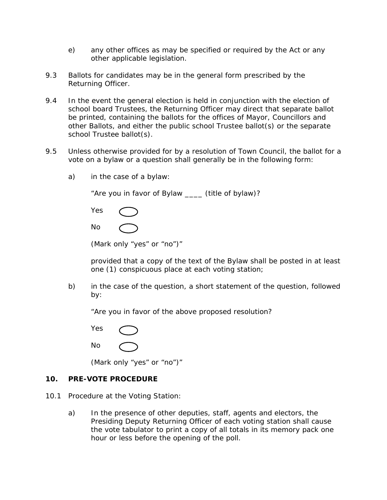- e) any other offices as may be specified or required by the Act or any other applicable legislation.
- 9.3 Ballots for candidates may be in the general form prescribed by the Returning Officer.
- 9.4 In the event the general election is held in conjunction with the election of school board Trustees, the Returning Officer may direct that separate ballot be printed, containing the ballots for the offices of Mayor, Councillors and other Ballots, and either the public school Trustee ballot(s) or the separate school Trustee ballot(s).
- 9.5 Unless otherwise provided for by a resolution of Town Council, the ballot for a vote on a bylaw or a question shall generally be in the following form:
	- a) in the case of a bylaw:

"Are you in favor of Bylaw \_\_\_\_ (title of bylaw)?

| Yes |  |
|-----|--|
| No  |  |

| (Mark only "yes" or "no")" |  |  |  |  |  |
|----------------------------|--|--|--|--|--|
|----------------------------|--|--|--|--|--|

provided that a copy of the text of the Bylaw shall be posted in at least one (1) conspicuous place at each voting station;

 b) in the case of the question, a short statement of the question, followed by:

"Are you in favor of the above proposed resolution?

 Yes No

(Mark only "yes" or "no")"

#### **10. PRE-VOTE PROCEDURE**

- 10.1 Procedure at the Voting Station:
	- a) In the presence of other deputies, staff, agents and electors, the Presiding Deputy Returning Officer of each voting station shall cause the vote tabulator to print a copy of all totals in its memory pack one hour or less before the opening of the poll.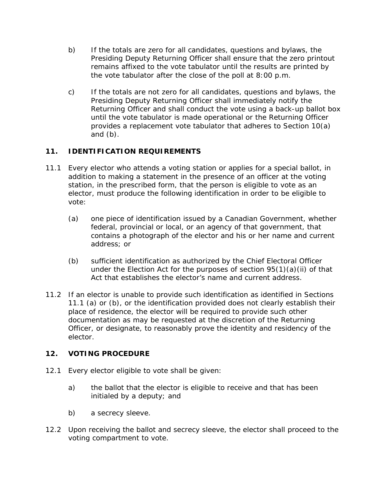- b) If the totals are zero for all candidates, questions and bylaws, the Presiding Deputy Returning Officer shall ensure that the zero printout remains affixed to the vote tabulator until the results are printed by the vote tabulator after the close of the poll at 8:00 p.m.
- c) If the totals are not zero for all candidates, questions and bylaws, the Presiding Deputy Returning Officer shall immediately notify the Returning Officer and shall conduct the vote using a back-up ballot box until the vote tabulator is made operational or the Returning Officer provides a replacement vote tabulator that adheres to Section 10(a) and  $(b)$ .

# **11. IDENTIFICATION REQUIREMENTS**

- 11.1 Every elector who attends a voting station or applies for a special ballot, in addition to making a statement in the presence of an officer at the voting station, in the prescribed form, that the person is eligible to vote as an elector, must produce the following identification in order to be eligible to vote:
	- (a) one piece of identification issued by a Canadian Government, whether federal, provincial or local, or an agency of that government, that contains a photograph of the elector and his or her name and current address; or
	- (b) sufficient identification as authorized by the Chief Electoral Officer under the Election Act for the purposes of section 95(1)(a)(ii) of that Act that establishes the elector's name and current address.
- 11.2 If an elector is unable to provide such identification as identified in Sections 11.1 (a) or (b), or the identification provided does not clearly establish their place of residence, the elector will be required to provide such other documentation as may be requested at the discretion of the Returning Officer, or designate, to reasonably prove the identity and residency of the elector.

# **12. VOTING PROCEDURE**

- 12.1 Every elector eligible to vote shall be given:
	- a) the ballot that the elector is eligible to receive and that has been initialed by a deputy; and
	- b) a secrecy sleeve.
- 12.2 Upon receiving the ballot and secrecy sleeve, the elector shall proceed to the voting compartment to vote.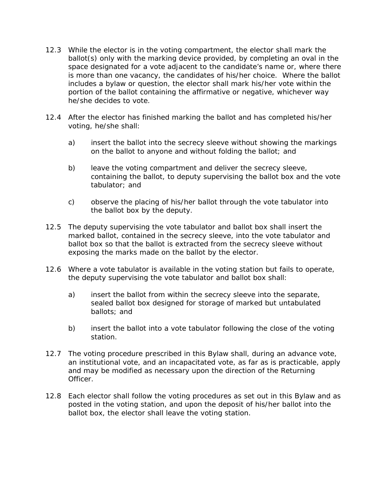- 12.3 While the elector is in the voting compartment, the elector shall mark the ballot(s) only with the marking device provided, by completing an oval in the space designated for a vote adjacent to the candidate's name or, where there is more than one vacancy, the candidates of his/her choice. Where the ballot includes a bylaw or question, the elector shall mark his/her vote within the portion of the ballot containing the affirmative or negative, whichever way he/she decides to vote.
- 12.4 After the elector has finished marking the ballot and has completed his/her voting, he/she shall:
	- a) insert the ballot into the secrecy sleeve without showing the markings on the ballot to anyone and without folding the ballot; and
	- b) leave the voting compartment and deliver the secrecy sleeve, containing the ballot, to deputy supervising the ballot box and the vote tabulator; and
	- c) observe the placing of his/her ballot through the vote tabulator into the ballot box by the deputy.
- 12.5 The deputy supervising the vote tabulator and ballot box shall insert the marked ballot, contained in the secrecy sleeve, into the vote tabulator and ballot box so that the ballot is extracted from the secrecy sleeve without exposing the marks made on the ballot by the elector.
- 12.6 Where a vote tabulator is available in the voting station but fails to operate, the deputy supervising the vote tabulator and ballot box shall:
	- a) insert the ballot from within the secrecy sleeve into the separate, sealed ballot box designed for storage of marked but untabulated ballots; and
	- b) insert the ballot into a vote tabulator following the close of the voting station.
- 12.7 The voting procedure prescribed in this Bylaw shall, during an advance vote, an institutional vote, and an incapacitated vote, as far as is practicable, apply and may be modified as necessary upon the direction of the Returning Officer.
- 12.8 Each elector shall follow the voting procedures as set out in this Bylaw and as posted in the voting station, and upon the deposit of his/her ballot into the ballot box, the elector shall leave the voting station.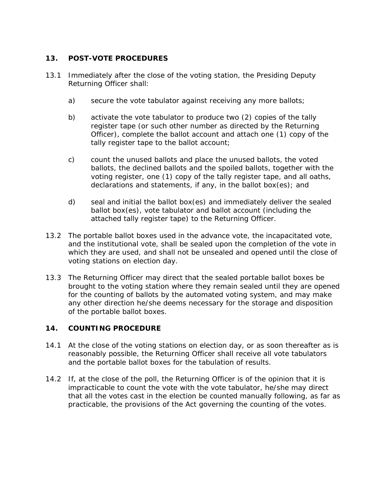# **13. POST-VOTE PROCEDURES**

- 13.1 Immediately after the close of the voting station, the Presiding Deputy Returning Officer shall:
	- a) secure the vote tabulator against receiving any more ballots;
	- b) activate the vote tabulator to produce two (2) copies of the tally register tape (or such other number as directed by the Returning Officer), complete the ballot account and attach one (1) copy of the tally register tape to the ballot account;
	- c) count the unused ballots and place the unused ballots, the voted ballots, the declined ballots and the spoiled ballots, together with the voting register, one (1) copy of the tally register tape, and all oaths, declarations and statements, if any, in the ballot box(es); and
	- d) seal and initial the ballot box(es) and immediately deliver the sealed ballot box(es), vote tabulator and ballot account (including the attached tally register tape) to the Returning Officer.
- 13.2 The portable ballot boxes used in the advance vote, the incapacitated vote, and the institutional vote, shall be sealed upon the completion of the vote in which they are used, and shall not be unsealed and opened until the close of voting stations on election day.
- 13.3 The Returning Officer may direct that the sealed portable ballot boxes be brought to the voting station where they remain sealed until they are opened for the counting of ballots by the automated voting system, and may make any other direction he/she deems necessary for the storage and disposition of the portable ballot boxes.

# **14. COUNTING PROCEDURE**

- 14.1 At the close of the voting stations on election day, or as soon thereafter as is reasonably possible, the Returning Officer shall receive all vote tabulators and the portable ballot boxes for the tabulation of results.
- 14.2 If, at the close of the poll, the Returning Officer is of the opinion that it is impracticable to count the vote with the vote tabulator, he/she may direct that all the votes cast in the election be counted manually following, as far as practicable, the provisions of the Act governing the counting of the votes.